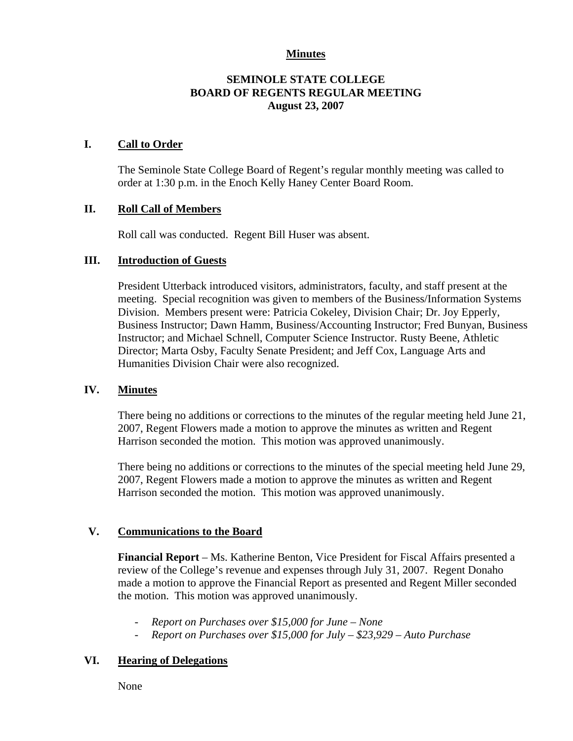## **Minutes**

# **SEMINOLE STATE COLLEGE BOARD OF REGENTS REGULAR MEETING August 23, 2007**

## **I. Call to Order**

The Seminole State College Board of Regent's regular monthly meeting was called to order at 1:30 p.m. in the Enoch Kelly Haney Center Board Room.

# **II. Roll Call of Members**

Roll call was conducted. Regent Bill Huser was absent.

#### **III. Introduction of Guests**

President Utterback introduced visitors, administrators, faculty, and staff present at the meeting. Special recognition was given to members of the Business/Information Systems Division. Members present were: Patricia Cokeley, Division Chair; Dr. Joy Epperly, Business Instructor; Dawn Hamm, Business/Accounting Instructor; Fred Bunyan, Business Instructor; and Michael Schnell, Computer Science Instructor. Rusty Beene, Athletic Director; Marta Osby, Faculty Senate President; and Jeff Cox, Language Arts and Humanities Division Chair were also recognized.

#### **IV. Minutes**

There being no additions or corrections to the minutes of the regular meeting held June 21, 2007, Regent Flowers made a motion to approve the minutes as written and Regent Harrison seconded the motion. This motion was approved unanimously.

There being no additions or corrections to the minutes of the special meeting held June 29, 2007, Regent Flowers made a motion to approve the minutes as written and Regent Harrison seconded the motion. This motion was approved unanimously.

#### **V. Communications to the Board**

**Financial Report** – Ms. Katherine Benton, Vice President for Fiscal Affairs presented a review of the College's revenue and expenses through July 31, 2007. Regent Donaho made a motion to approve the Financial Report as presented and Regent Miller seconded the motion. This motion was approved unanimously.

- *Report on Purchases over \$15,000 for June None*
- *Report on Purchases over \$15,000 for July \$23,929 Auto Purchase*

#### **VI. Hearing of Delegations**

None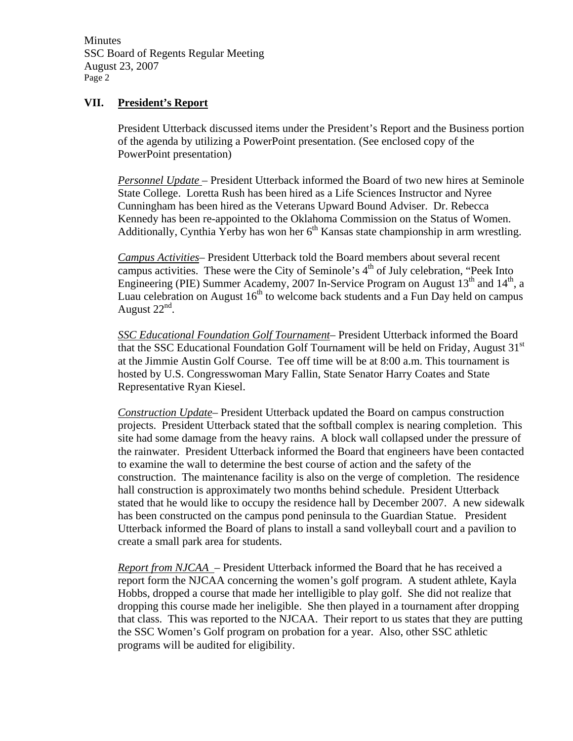Minutes SSC Board of Regents Regular Meeting August 23, 2007 Page 2

## **VII. President's Report**

President Utterback discussed items under the President's Report and the Business portion of the agenda by utilizing a PowerPoint presentation. (See enclosed copy of the PowerPoint presentation)

*Personnel Update* – President Utterback informed the Board of two new hires at Seminole State College. Loretta Rush has been hired as a Life Sciences Instructor and Nyree Cunningham has been hired as the Veterans Upward Bound Adviser. Dr. Rebecca Kennedy has been re-appointed to the Oklahoma Commission on the Status of Women. Additionally, Cynthia Yerby has won her  $6<sup>th</sup>$  Kansas state championship in arm wrestling.

*Campus Activities*– President Utterback told the Board members about several recent campus activities. These were the City of Seminole's  $4<sup>th</sup>$  of July celebration, "Peek Into Engineering (PIE) Summer Academy, 2007 In-Service Program on August  $13<sup>th</sup>$  and  $14<sup>th</sup>$ , a Luau celebration on August  $16<sup>th</sup>$  to welcome back students and a Fun Day held on campus August  $22<sup>nd</sup>$ .

*SSC Educational Foundation Golf Tournament*– President Utterback informed the Board that the SSC Educational Foundation Golf Tournament will be held on Friday, August  $31<sup>st</sup>$ at the Jimmie Austin Golf Course. Tee off time will be at 8:00 a.m. This tournament is hosted by U.S. Congresswoman Mary Fallin, State Senator Harry Coates and State Representative Ryan Kiesel.

*Construction Update*– President Utterback updated the Board on campus construction projects. President Utterback stated that the softball complex is nearing completion. This site had some damage from the heavy rains. A block wall collapsed under the pressure of the rainwater. President Utterback informed the Board that engineers have been contacted to examine the wall to determine the best course of action and the safety of the construction. The maintenance facility is also on the verge of completion. The residence hall construction is approximately two months behind schedule. President Utterback stated that he would like to occupy the residence hall by December 2007. A new sidewalk has been constructed on the campus pond peninsula to the Guardian Statue. President Utterback informed the Board of plans to install a sand volleyball court and a pavilion to create a small park area for students.

*Report from NJCAA* – President Utterback informed the Board that he has received a report form the NJCAA concerning the women's golf program. A student athlete, Kayla Hobbs, dropped a course that made her intelligible to play golf. She did not realize that dropping this course made her ineligible. She then played in a tournament after dropping that class. This was reported to the NJCAA. Their report to us states that they are putting the SSC Women's Golf program on probation for a year. Also, other SSC athletic programs will be audited for eligibility.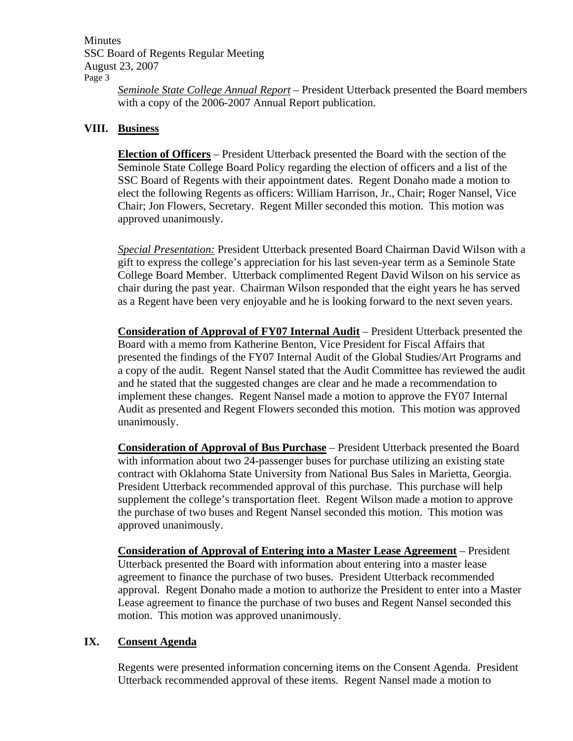Minutes SSC Board of Regents Regular Meeting August 23, 2007 Page 3

*Seminole State College Annual Report* – President Utterback presented the Board members with a copy of the 2006-2007 Annual Report publication.

# **VIII. Business**

**Election of Officers** – President Utterback presented the Board with the section of the Seminole State College Board Policy regarding the election of officers and a list of the SSC Board of Regents with their appointment dates. Regent Donaho made a motion to elect the following Regents as officers: William Harrison, Jr., Chair; Roger Nansel, Vice Chair; Jon Flowers, Secretary. Regent Miller seconded this motion. This motion was approved unanimously.

*Special Presentation:* President Utterback presented Board Chairman David Wilson with a gift to express the college's appreciation for his last seven-year term as a Seminole State College Board Member. Utterback complimented Regent David Wilson on his service as chair during the past year. Chairman Wilson responded that the eight years he has served as a Regent have been very enjoyable and he is looking forward to the next seven years.

**Consideration of Approval of FY07 Internal Audit** – President Utterback presented the Board with a memo from Katherine Benton, Vice President for Fiscal Affairs that presented the findings of the FY07 Internal Audit of the Global Studies/Art Programs and a copy of the audit. Regent Nansel stated that the Audit Committee has reviewed the audit and he stated that the suggested changes are clear and he made a recommendation to implement these changes. Regent Nansel made a motion to approve the FY07 Internal Audit as presented and Regent Flowers seconded this motion. This motion was approved unanimously.

**Consideration of Approval of Bus Purchase** – President Utterback presented the Board with information about two 24-passenger buses for purchase utilizing an existing state contract with Oklahoma State University from National Bus Sales in Marietta, Georgia. President Utterback recommended approval of this purchase. This purchase will help supplement the college's transportation fleet. Regent Wilson made a motion to approve the purchase of two buses and Regent Nansel seconded this motion. This motion was approved unanimously.

**Consideration of Approval of Entering into a Master Lease Agreement** – President Utterback presented the Board with information about entering into a master lease agreement to finance the purchase of two buses. President Utterback recommended approval. Regent Donaho made a motion to authorize the President to enter into a Master Lease agreement to finance the purchase of two buses and Regent Nansel seconded this motion. This motion was approved unanimously.

#### **IX. Consent Agenda**

Regents were presented information concerning items on the Consent Agenda. President Utterback recommended approval of these items. Regent Nansel made a motion to